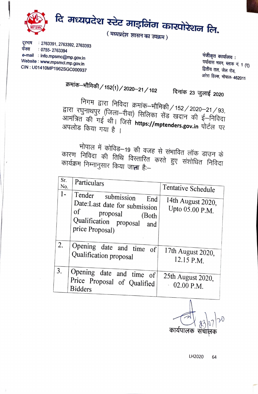

<sup>~</sup>: **2763391, 2763392, <sup>2763393</sup> \$ffi** : **0755- <sup>2763394</sup> e-mail** : **lnfo.mpsmc@mp.gov.in Website** : **www.mpsmcl.<sup>m</sup>p.gov.i<sup>n</sup> CIN : U01410MP1962SGC00093<sup>7</sup>**

 $\overline{\phantom{a}}$ 

 $\mathcal{L}$   $\mathcal{L}$   $\mathcal{L}$   $\mathcal{L}$   $\mathcal{L}$   $\mathcal{L}$   $\mathcal{L}$   $\mathcal{L}$   $\mathcal{L}$   $\mathcal{L}$   $\mathcal{L}$   $\mathcal{L}$   $\mathcal{L}$   $\mathcal{L}$   $\mathcal{L}$   $\mathcal{L}$   $\mathcal{L}$   $\mathcal{L}$   $\mathcal{L}$   $\mathcal{L}$   $\mathcal{L}$   $\mathcal{L}$   $\mathcal{L}$   $\mathcal{L}$   $\mathcal{$ <sup>чयावास</sup> मवन, ब्लाक नं. 1 <sub>(</sub>ए)<br>दिवीय वच्च <del>-) -</del> द्वितीय तल, जेल रोड, **3lffi** ~. **<sup>~</sup> -4620<sup>11</sup>**

**~-~/152(1)/2020-21/102** 

<sup>~</sup>**23** ~ **2020** 

निगम द्वारा निविदा क्रमांक–भौमिकी / 152 / 2020–21 / 93,<br>घनाथपर (जिला ग्रीज़), <del>D.C</del>. द्वारा रघुनाथपुर (जिला–रीवा) सिलिका सेंड खदान की ई–निविदा<br>आमंत्रित की गई थी। क्रिक्ने Lyce Zeal खदान की ई–निविदा अपलोड किया गया की गई .<br>गया है ~~ l जिसे **https://mptenders.gov.in** पोर्टल पर<br>।

कार <sup>'मापा</sup>ल में कोविड—19 की नगर त समावित लाक डाउन के<br><del>~</del> कार्यक्रम ण निविदा निम्न की तिथि विस्तारित फरत हुए संशोधित निविदा नुसार किया जा**ता** है:-

| Sr.<br>No.     | Particulars                                                                                                                                 | Tentative Schedule                   |
|----------------|---------------------------------------------------------------------------------------------------------------------------------------------|--------------------------------------|
| 1-             | Tender<br>submission<br>End<br>Date:Last date for submission<br>of<br>proposal<br>(Both<br>Qualification proposal<br>and<br>price Proposal) | 14th August 2020,<br>Upto 05.00 P.M. |
| 2.             | Opening date and time of<br>Qualification proposal                                                                                          | 17th August 2020,<br>12.15 P.M.      |
| 3 <sub>1</sub> | Opening date and time of<br>Price Proposal of Qualified<br><b>Bidders</b>                                                                   | 25th August 2020,<br>02.00 P.M.      |

कार्यपालक